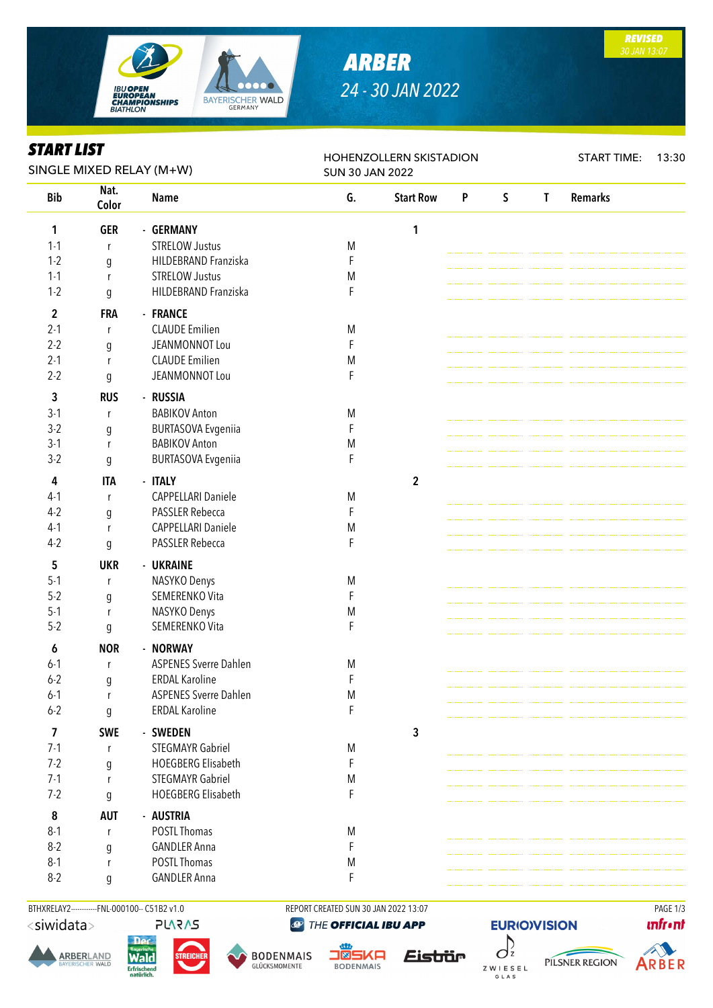

### *ARBER 24 - 30 JAN 2022*

*REVISED 30 JAN 13:07*

### *START LIST*

| START LIST<br>SINGLE MIXED RELAY (M+W) |               |                              | HOHENZOLLERN SKISTADION<br><b>SUN 30 JAN 2022</b> |                  |                           |              |              | <b>START TIME:</b> | 13:30 |
|----------------------------------------|---------------|------------------------------|---------------------------------------------------|------------------|---------------------------|--------------|--------------|--------------------|-------|
| <b>Bib</b>                             | Nat.<br>Color | <b>Name</b>                  | G.                                                | <b>Start Row</b> | $\boldsymbol{\mathsf{P}}$ | $\mathsf{S}$ | $\mathbf{I}$ | <b>Remarks</b>     |       |
| 1                                      | <b>GER</b>    | - GERMANY                    |                                                   | 1                |                           |              |              |                    |       |
| $1 - 1$                                | r             | <b>STRELOW Justus</b>        | M                                                 |                  |                           |              |              |                    |       |
| $1 - 2$                                | g             | HILDEBRAND Franziska         | F                                                 |                  |                           |              |              |                    |       |
| $1 - 1$                                | r             | <b>STRELOW Justus</b>        | M                                                 |                  |                           |              |              |                    |       |
| $1 - 2$                                | g             | HILDEBRAND Franziska         | F                                                 |                  |                           |              |              |                    |       |
| $\overline{2}$                         | <b>FRA</b>    | - FRANCE                     |                                                   |                  |                           |              |              |                    |       |
| $2 - 1$                                | r             | <b>CLAUDE Emilien</b>        | M                                                 |                  |                           |              |              |                    |       |
| $2 - 2$                                | g             | JEANMONNOT Lou               | F                                                 |                  |                           |              |              |                    |       |
| $2 - 1$                                | r             | <b>CLAUDE Emilien</b>        | M                                                 |                  |                           |              |              |                    |       |
| $2 - 2$                                | g             | JEANMONNOT Lou               | F                                                 |                  |                           |              |              |                    |       |
| 3                                      | <b>RUS</b>    | - RUSSIA                     |                                                   |                  |                           |              |              |                    |       |
| $3-1$                                  | r             | <b>BABIKOV Anton</b>         | M                                                 |                  |                           |              |              |                    |       |
| $3-2$                                  | g             | <b>BURTASOVA Evgeniia</b>    | F                                                 |                  |                           |              |              |                    |       |
| $3-1$                                  | r             | <b>BABIKOV Anton</b>         | M                                                 |                  |                           |              |              |                    |       |
| $3-2$                                  | g             | <b>BURTASOVA Evgeniia</b>    | F                                                 |                  |                           |              |              |                    |       |
| 4                                      | <b>ITA</b>    | - ITALY                      |                                                   |                  |                           |              |              |                    |       |
| $4-1$                                  |               | <b>CAPPELLARI Daniele</b>    |                                                   | $\mathbf 2$      |                           |              |              |                    |       |
| $4-2$                                  | r             | PASSLER Rebecca              | M<br>F                                            |                  |                           |              |              |                    |       |
| $4-1$                                  | g             | <b>CAPPELLARI Daniele</b>    | M                                                 |                  |                           |              |              |                    |       |
| $4-2$                                  | r             | <b>PASSLER Rebecca</b>       | F                                                 |                  |                           |              |              |                    |       |
|                                        | g             |                              |                                                   |                  |                           |              |              |                    |       |
| 5                                      | <b>UKR</b>    | - UKRAINE                    |                                                   |                  |                           |              |              |                    |       |
| $5 - 1$                                | r             | NASYKO Denys                 | M                                                 |                  |                           |              |              |                    |       |
| $5 - 2$                                | g             | SEMERENKO Vita               | F                                                 |                  |                           |              |              |                    |       |
| $5-1$                                  | r             | NASYKO Denys                 | M                                                 |                  |                           |              |              |                    |       |
| $5 - 2$                                | g             | SEMERENKO Vita               | F                                                 |                  |                           |              |              |                    |       |
| 6                                      | <b>NOR</b>    | - NORWAY                     |                                                   |                  |                           |              |              |                    |       |
| $6-1$                                  | r             | <b>ASPENES Sverre Dahlen</b> | M                                                 |                  |                           |              |              |                    |       |
| $6 - 2$                                | g             | <b>ERDAL Karoline</b>        | F                                                 |                  |                           |              |              |                    |       |
| $6 - 1$                                | r             | <b>ASPENES Sverre Dahlen</b> | M                                                 |                  |                           |              |              |                    |       |
| $6 - 2$                                | g             | <b>ERDAL Karoline</b>        | F                                                 |                  |                           |              |              |                    |       |
| $\overline{7}$                         | <b>SWE</b>    | - SWEDEN                     |                                                   | 3                |                           |              |              |                    |       |
| $7-1$                                  | r             | <b>STEGMAYR Gabriel</b>      | M                                                 |                  |                           |              |              |                    |       |
| $7-2$                                  | g             | <b>HOEGBERG Elisabeth</b>    | F                                                 |                  |                           |              |              |                    |       |
| $7 - 1$                                | r             | <b>STEGMAYR Gabriel</b>      | M                                                 |                  |                           |              |              |                    |       |
| $7 - 2$                                | g             | HOEGBERG Elisabeth           | F                                                 |                  |                           |              |              |                    |       |
| 8                                      | <b>AUT</b>    | - AUSTRIA                    |                                                   |                  |                           |              |              |                    |       |
| $8 - 1$                                | r             | POSTL Thomas                 | M                                                 |                  |                           |              |              |                    |       |
| $8 - 2$                                | g             | <b>GANDLER Anna</b>          | F                                                 |                  |                           |              |              |                    |       |
| $8-1$                                  | ľ             | POSTL Thomas                 | M                                                 |                  |                           |              |              |                    |       |
| $8-2$                                  | g             | <b>GANDLER Anna</b>          | F                                                 |                  |                           |              |              |                    |       |

BTHXRELAY2-----------FNL-000100-- C51B2 v1.0 REPORT CREATED SUN 30 JAN 2022 13:07 PAGE 1/3 <siwidata> **PLARAS** 

**ARBERLAND** 

THE OFFICIAL IBU APP

**hlcW Erfrischend** 





**JÖSKA BODENMAIS** 



**EURIO)VISION**  $\int$ PILSNER REGION ZWIESEL G L A S

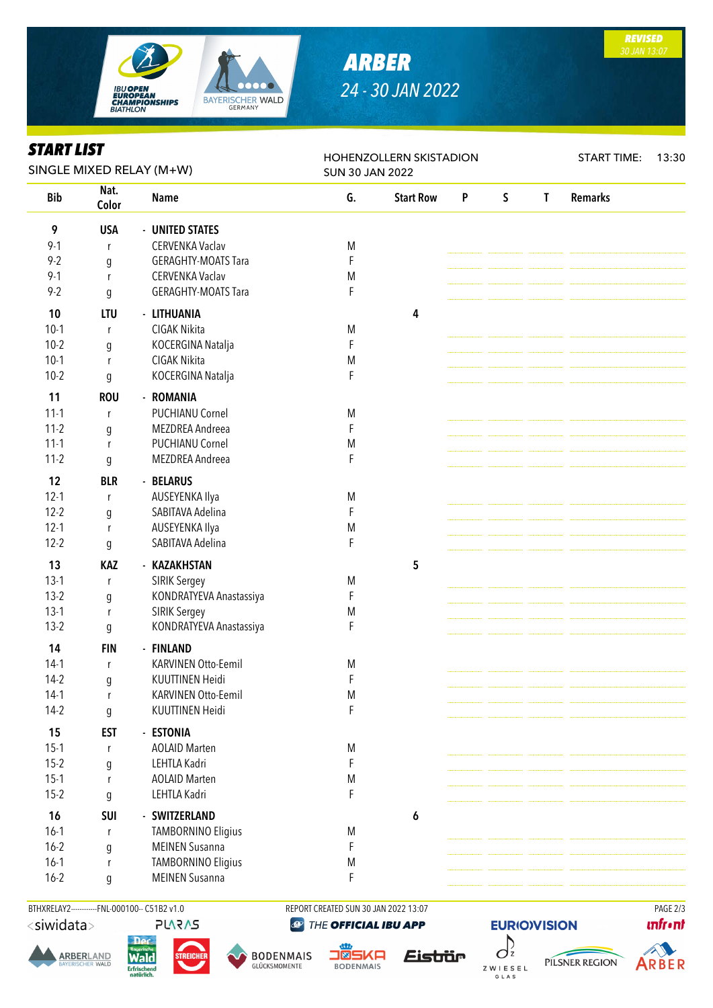

# *ARBER 24 - 30 JAN 2022*

*REVISED 30 JAN 13:07*

#### *START LIST*

| SIAKI LISI<br>SINGLE MIXED RELAY (M+W) |               |                            | HOHENZOLLERN SKISTADION<br><b>SUN 30 JAN 2022</b> |                  |   |              |              | <b>START TIME:</b> | 13:30 |
|----------------------------------------|---------------|----------------------------|---------------------------------------------------|------------------|---|--------------|--------------|--------------------|-------|
| <b>Bib</b>                             | Nat.<br>Color | Name                       | G.                                                | <b>Start Row</b> | P | $\mathsf{S}$ | $\mathsf{T}$ | <b>Remarks</b>     |       |
| 9                                      | <b>USA</b>    | - UNITED STATES            |                                                   |                  |   |              |              |                    |       |
| $9 - 1$                                | r             | CERVENKA Vaclav            | M                                                 |                  |   |              |              |                    |       |
| $9 - 2$                                | g             | <b>GERAGHTY-MOATS Tara</b> | F                                                 |                  |   |              |              |                    |       |
| $9 - 1$                                | r             | CERVENKA Vaclav            | M                                                 |                  |   |              |              |                    |       |
| $9 - 2$                                | g             | <b>GERAGHTY-MOATS Tara</b> | F                                                 |                  |   |              |              |                    |       |
| 10                                     | <b>LTU</b>    | - LITHUANIA                |                                                   | 4                |   |              |              |                    |       |
| $10-1$                                 | r             | CIGAK Nikita               | M                                                 |                  |   |              |              |                    |       |
| $10-2$                                 | g             | KOCERGINA Natalja          | F                                                 |                  |   |              |              |                    |       |
| $10-1$                                 | r             | CIGAK Nikita               | M                                                 |                  |   |              |              |                    |       |
| $10-2$                                 | g             | KOCERGINA Natalja          | F                                                 |                  |   |              |              |                    |       |
| 11                                     | <b>ROU</b>    | - ROMANIA                  |                                                   |                  |   |              |              |                    |       |
| $11 - 1$                               | r             | <b>PUCHIANU Cornel</b>     | M                                                 |                  |   |              |              |                    |       |
| $11-2$                                 | g             | MEZDREA Andreea            | F                                                 |                  |   |              |              |                    |       |
| $11-1$                                 | r             | <b>PUCHIANU Cornel</b>     | M                                                 |                  |   |              |              |                    |       |
| $11-2$                                 | g             | MEZDREA Andreea            | F                                                 |                  |   |              |              |                    |       |
| 12                                     | <b>BLR</b>    | - BELARUS                  |                                                   |                  |   |              |              |                    |       |
| $12 - 1$                               | r             | AUSEYENKA Ilya             | M                                                 |                  |   |              |              |                    |       |
| $12 - 2$                               | g             | SABITAVA Adelina           | F                                                 |                  |   |              |              |                    |       |
| $12 - 1$                               | r             | AUSEYENKA Ilya             | M                                                 |                  |   |              |              |                    |       |
| $12 - 2$                               | g             | SABITAVA Adelina           | F                                                 |                  |   |              |              |                    |       |
| 13                                     | <b>KAZ</b>    | - KAZAKHSTAN               |                                                   | 5                |   |              |              |                    |       |
| $13-1$                                 | r             | SIRIK Sergey               | M                                                 |                  |   |              |              |                    |       |
| $13-2$                                 | g             | KONDRATYEVA Anastassiya    | F                                                 |                  |   |              |              |                    |       |
| $13-1$                                 | r             | SIRIK Sergey               | M                                                 |                  |   |              |              |                    |       |
| $13-2$                                 | g             | KONDRATYEVA Anastassiya    | F                                                 |                  |   |              |              |                    |       |
| 14                                     | <b>FIN</b>    | - FINLAND                  |                                                   |                  |   |              |              |                    |       |
| $14-1$                                 | r             | KARVINEN Otto-Eemil        | M                                                 |                  |   |              |              |                    |       |
| $14-2$                                 | q             | KUUTTINEN Heidi            | F                                                 |                  |   |              |              |                    |       |
| $14-1$                                 | r             | KARVINEN Otto-Eemil        | ${\sf M}$                                         |                  |   |              |              |                    |       |
| $14-2$                                 | g             | KUUTTINEN Heidi            | F                                                 |                  |   |              |              |                    |       |
| 15                                     | <b>EST</b>    | - ESTONIA                  |                                                   |                  |   |              |              |                    |       |
| $15-1$                                 | r             | <b>AOLAID Marten</b>       | M                                                 |                  |   |              |              |                    |       |
| $15-2$                                 | g             | LEHTLA Kadri               | F                                                 |                  |   |              |              |                    |       |
| $15-1$                                 | r             | <b>AOLAID Marten</b>       | M                                                 |                  |   |              |              |                    |       |
| $15-2$                                 | g             | LEHTLA Kadri               | F                                                 |                  |   |              |              |                    |       |
| 16                                     | SUI           | - SWITZERLAND              |                                                   | 6                |   |              |              |                    |       |
| $16-1$                                 | r             | <b>TAMBORNINO Eligius</b>  | M                                                 |                  |   |              |              |                    |       |
| $16 - 2$                               | g             | <b>MEINEN Susanna</b>      | F                                                 |                  |   |              |              |                    |       |
| $16-1$                                 | r             | <b>TAMBORNINO Eligius</b>  | M                                                 |                  |   |              |              |                    |       |
| $16 - 2$                               | g             | <b>MEINEN Susanna</b>      | F                                                 |                  |   |              |              |                    |       |
|                                        |               |                            |                                                   |                  |   |              |              |                    |       |

BTHXRELAY2------------FNL-000100-- C51B2 v1.0 REPORT CREATED SUN 30 JAN 2022 13:07 PAGE 2/3<siwidata> **PLARAS** 

**hlcW** 

**Erfrischend** 

**ARBERLAND** 

THE OFFICIAL IBU APP